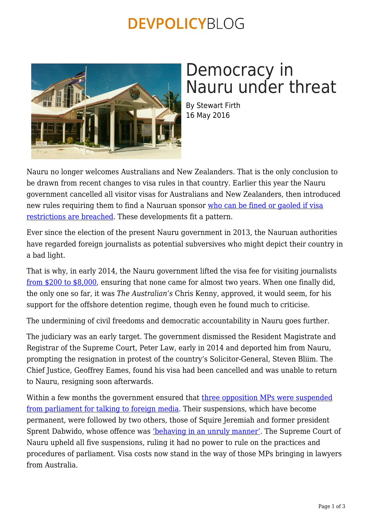#### **DEVPOLICYBLOG**



# Democracy in Nauru under threat

By Stewart Firth 16 May 2016

Nauru no longer welcomes Australians and New Zealanders. That is the only conclusion to be drawn from recent changes to visa rules in that country. Earlier this year the Nauru government cancelled all visitor visas for Australians and New Zealanders, then introduced new rules requiring them to find a Nauruan sponsor [who can be fined or gaoled if visa](http://www.radionz.co.nz/international/pacific-news/298558/nauru) [restrictions are breached](http://www.radionz.co.nz/international/pacific-news/298558/nauru). These developments fit a pattern.

Ever since the election of the present Nauru government in 2013, the Nauruan authorities have regarded foreign journalists as potential subversives who might depict their country in a bad light.

That is why, in early 2014, the Nauru government lifted the visa fee for visiting journalists [from \\$200 to \\$8,000,](http://pidp.eastwestcenter.org/pireport/2014/January/01-10-04.htm) ensuring that none came for almost two years. When one finally did, the only one so far, it was *The Australian's* Chris Kenny, approved, it would seem, for his support for the offshore detention regime, though even he found much to criticise.

The undermining of civil freedoms and democratic accountability in Nauru goes further.

The judiciary was an early target. The government dismissed the Resident Magistrate and Registrar of the Supreme Court, Peter Law, early in 2014 and deported him from Nauru, prompting the resignation in protest of the country's Solicitor-General, Steven Bliim. The Chief Justice, Geoffrey Eames, found his visa had been cancelled and was unable to return to Nauru, resigning soon afterwards.

Within a few months the government ensured that [three opposition MPs were suspended](http://www.abc.net.au/news/2014-06-26/nauru-mps-suspended/5553022) [from parliament for talking to foreign media](http://www.abc.net.au/news/2014-06-26/nauru-mps-suspended/5553022). Their suspensions, which have become permanent, were followed by two others, those of Squire Jeremiah and former president Sprent Dabwido, whose offence was ['behaving in an unruly manner'.](http://www.abc.net.au/news/2014-06-26/nauru-mps-suspended/5553022) The Supreme Court of Nauru upheld all five suspensions, ruling it had no power to rule on the practices and procedures of parliament. Visa costs now stand in the way of those MPs bringing in lawyers from Australia.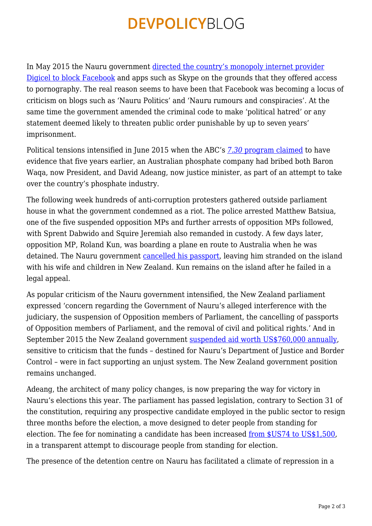## **DEVPOLICYBLOG**

In May 2015 the Nauru government [directed the country's monopoly internet provider](http://www.abc.net.au/news/2015-05-02/nauru-ban-on-facebook-to-diffuse-dissent-critics-say/6439146) [Digicel to block Facebook](http://www.abc.net.au/news/2015-05-02/nauru-ban-on-facebook-to-diffuse-dissent-critics-say/6439146) and apps such as Skype on the grounds that they offered access to pornography. The real reason seems to have been that Facebook was becoming a locus of criticism on blogs such as 'Nauru Politics' and 'Nauru rumours and conspiracies'. At the same time the government amended the criminal code to make 'political hatred' or any statement deemed likely to threaten public order punishable by up to seven years' imprisonment.

Political tensions intensified in June 2015 when the ABC's *[7.30](http://www.abc.net.au/7.30/content/2015/s4251115.htm)* [program claimed](http://www.abc.net.au/7.30/content/2015/s4251115.htm) to have evidence that five years earlier, an Australian phosphate company had bribed both Baron Waqa, now President, and David Adeang, now justice minister, as part of an attempt to take over the country's phosphate industry.

The following week hundreds of anti-corruption protesters gathered outside parliament house in what the government condemned as a riot. The police arrested Matthew Batsiua, one of the five suspended opposition MPs and further arrests of opposition MPs followed, with Sprent Dabwido and Squire Jeremiah also remanded in custody. A few days later, opposition MP, Roland Kun, was boarding a plane en route to Australia when he was detained. The Nauru government [cancelled his passport](http://www.abc.net.au/news/2015-06-17/nauru-mp-prevented-from-leaving-country-after-abc-interview/6553552), leaving him stranded on the island with his wife and children in New Zealand. Kun remains on the island after he failed in a legal appeal.

As popular criticism of the Nauru government intensified, the New Zealand parliament expressed 'concern regarding the Government of Nauru's alleged interference with the judiciary, the suspension of Opposition members of Parliament, the cancelling of passports of Opposition members of Parliament, and the removal of civil and political rights.' And in September 2015 the New Zealand government [suspended aid worth US\\$760,000 annually](http://www.radionz.co.nz/international/pacific-news/277336/former-top-judge-says-nz-response-to-nauru-weak), sensitive to criticism that the funds – destined for Nauru's Department of Justice and Border Control – were in fact supporting an unjust system. The New Zealand government position remains unchanged.

Adeang, the architect of many policy changes, is now preparing the way for victory in Nauru's elections this year. The parliament has passed legislation, contrary to Section 31 of the constitution, requiring any prospective candidate employed in the public sector to resign three months before the election, a move designed to deter people from standing for election. The fee for nominating a candidate has been increased [from \\$US74 to US\\$1,500](http://pidp.eastwestcenter.org/pireport/2016/March/03-14-09.htm), in a transparent attempt to discourage people from standing for election.

The presence of the detention centre on Nauru has facilitated a climate of repression in a